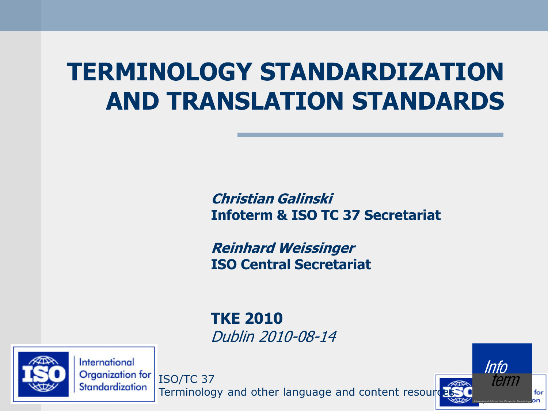#### **TERMINOLOGY STANDARDIZATION AND TRANSLATION STANDARDS**

**Christian Galinski Infoterm & ISO TC 37 Secretariat**

Info

term

for

**Reinhard Weissinger ISO Central Secretariat**

**TKE 2010** Dublin 2010-08-14



International Organization for Standardization

ISO/TC 37 Terminology and other language and content resour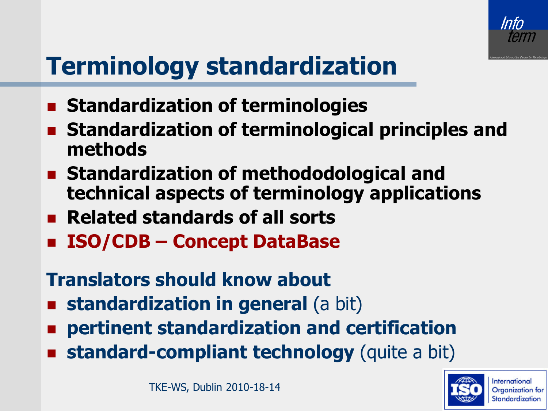

# **Terminology standardization**

- **Example 3 Standardization of terminologies**
- **Standardization of terminological principles and methods**
- **Standardization of methododological and technical aspects of ter[mi](http://www.iso.org/iso/en/ISOOnline.frontpage)nology applications**
- **Related standards of all sorts**
- **ISO/CDB – Concept DataBase**

#### **Translators should know about**

- **standardization in general (a bit)**
- **pertinent standardization and certification**
- **standard-compliant technology** (quite a bit)

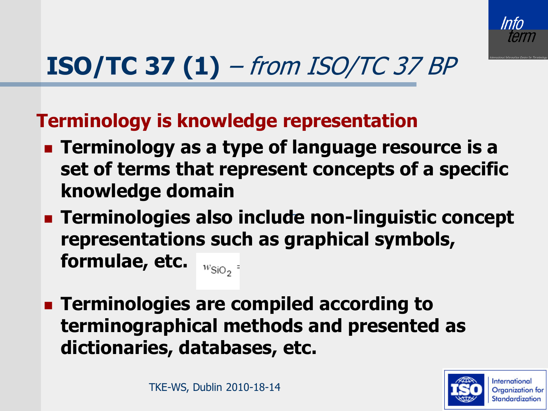

# **ISO/TC 37 (1)** – from ISO/TC 37 BP

**Terminology is knowledge representation**

- **Example 1 Terminology as a type of language resource is a set of terms that represent concepts of a specific knowledge domain**
- **Terminologies also inclu[de](http://www.iso.org/iso/en/ISOOnline.frontpage) non-linguistic concept representations such as graphical symbols, formulae, etc.**   $W_{\text{SiO}_2}$  =
- **Terminologies are compiled according to terminographical methods and presented as dictionaries, databases, etc.**

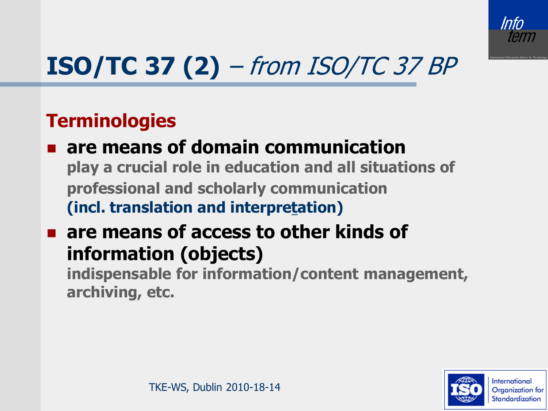

# **ISO/TC 37 (2)** – from ISO/TC 37 BP

#### **Terminologies**

- **are means of domain communication play a crucial role in education and all situations of professional and scholarly communication (incl. translation and interpre[ta](http://www.iso.org/iso/en/ISOOnline.frontpage)tion)**
- **are means of access to other kinds of information (objects)**

**indispensable for information/content management, archiving, etc.**

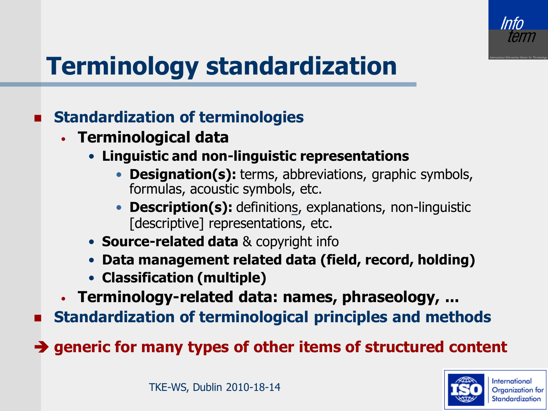

# **Terminology standardization**

#### **Standardization of terminologies**

- **Terminological data**
	- **Linguistic and non-linguistic representations**
		- **Designation(s):** terms, abbreviations, graphic symbols, formulas, acoustic symbols, etc.
		- **Description(s):** definitio[ns](http://www.iso.org/iso/en/ISOOnline.frontpage), explanations, non-linguistic [descriptive] representations, etc.
	- **Source-related data** & copyright info
	- **Data management related data (field, record, holding)**
	- **Classification (multiple)**
- **Terminology-related data: names, phraseology, ...**

**Standardization of terminological principles and methods**

**→ generic for many types of other items of structured content** 

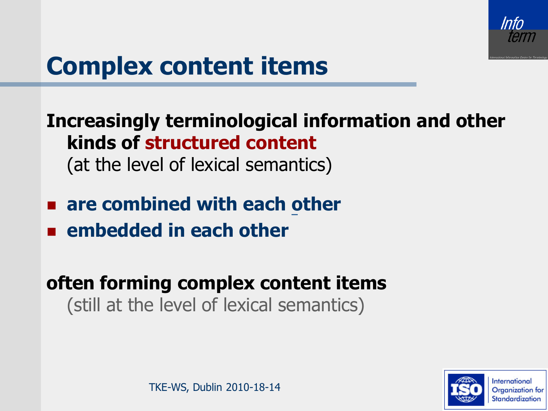

#### **Complex content items**

**Increasingly terminological information and other kinds of structured content** (at the level of lexical semantics)

- **are combined with each [o](http://www.iso.org/iso/en/ISOOnline.frontpage)ther**
- **embedded in each other**

**often forming complex content items** (still at the level of lexical semantics)

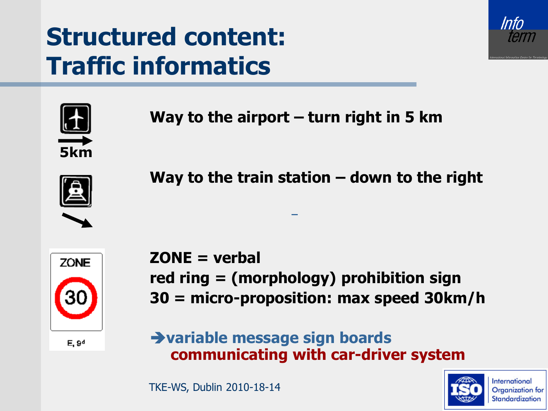### **Structured content: Traffic informatics**





**Way to the airport – turn right in 5 km**



**Way to the train station – down to the right**



**ZONE = verbal red ring = (morphology) prohibition sign 30 = micro-proposition: max speed 30km/h**

 $E, 9<sup>d</sup>$ 

**variable message sign boards communicating with car-driver system**

TKE-WS, Dublin 2010-18-14

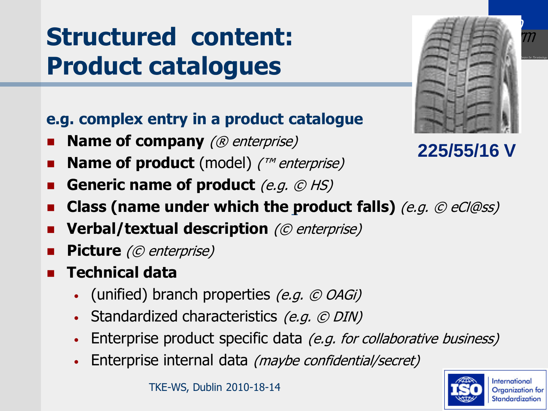### **Structured content: Product catalogues**

#### **e.g. complex entry in a product catalogue**

- **Name of company** (® enterprise)
- **Name of product** (model) (™ enterprise)
- **Generic name of product** (e.g.  $\oslash$  HS)
- **Class (name under which the [p](http://www.iso.org/iso/en/ISOOnline.frontpage)roduct falls)** (e.g. © eCl@ss)
- **Verbal/textual description** (© enterprise)
- **Picture** (© enterprise)
- **Technical data**
	- (unified) branch properties  $(e.g. \odot OAGi)$
	- Standardized characteristics (e.g. © DIN)
	- Enterprise product specific data (e.g. for collaborative business)
	- Enterprise internal data (maybe confidential/secret)



**225/55/16 V**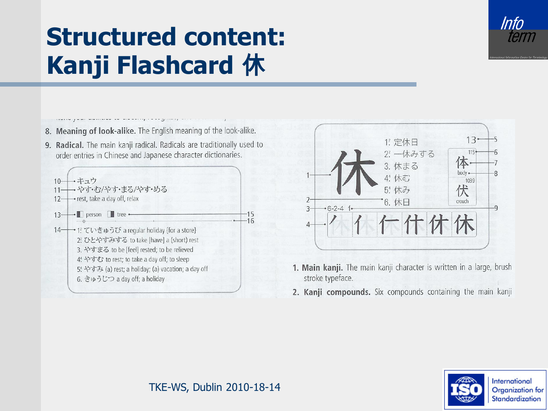

### **Structured content: Kanji Flashcard** 休

- 8. Meaning of look-alike. The English meaning of the look-alike.
- 9. Radical. The main kanji radical. Radicals are traditionally used to order entries in Chinese and Japanese character dictionaries.





- 1. Main kanji. The main kanji character is written in a large, brush stroke typeface.
- 2. Kanji compounds. Six compounds containing the main kanji

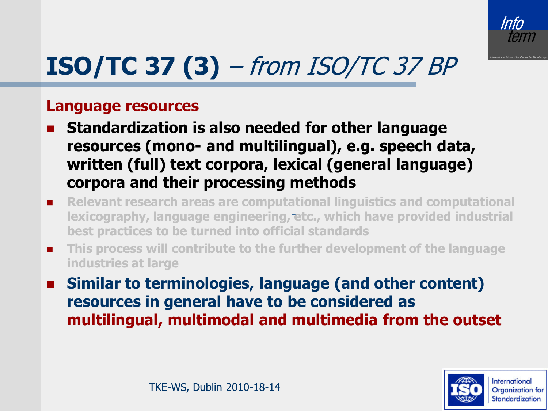

# **ISO/TC 37 (3)** – from ISO/TC 37 BP

#### **Language resources**

- **Standardization is also needed for other language resources (mono- and multilingual), e.g. speech data, written (full) text corpora, lexical (general language) corpora and their processing methods**
- **Relevant research areas are comput[at](http://www.iso.org/iso/en/ISOOnline.frontpage)ional linguistics and computational lexicography, language engineering, etc., which have provided industrial best practices to be turned into official standards**
- **This process will contribute to the further development of the language industries at large**
- **Similar to terminologies, language (and other content) resources in general have to be considered as multilingual, multimodal and multimedia from the outset**

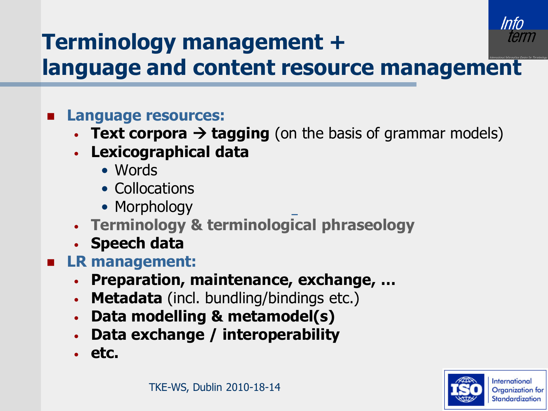

#### **Terminology management + language and content resource management**

- **Language resources:**
	- **Text corpora**  $\rightarrow$  **tagging** (on the basis of grammar models)
	- **Lexicographical data**
		- Words
		- Collocations
		- Morphology
	- **Terminology & terminological phraseology**
	- **Speech data**
- **LR management:**
	- **Preparation, maintenance, exchange, …**
	- **Metadata** (incl. bundling/bindings etc.)
	- **Data modelling & metamodel(s)**
	- **Data exchange / interoperability**
	- **etc.**

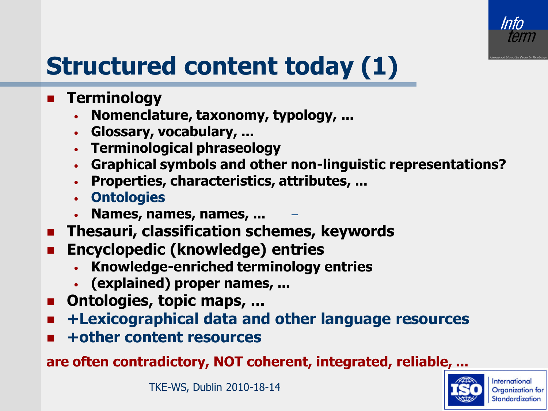

# **Structured content today (1)**

- **Terminology**
	- **Nomenclature, taxonomy, typology, ...**
	- **Glossary, vocabulary, ...**
	- **Terminological phraseology**
	- **Graphical symbols and other non-linguistic representations?**
	- **Properties, characteristics, attributes, ...**
	- **Ontologies**
	- **Names, names, names, ...**
- **E** Thesauri, classification schemes, keywords
- **Encyclopedic (knowledge) entries**
	- **Knowledge-enriched terminology entries**
	- **(explained) proper names, ...**
- **n** Ontologies, topic maps, ...
- **+Lexicographical data and other language resources**
- **+other content resources**

**are often contradictory, NOT coherent, integrated, reliable, ...**

TKE-WS, Dublin 2010-18-14

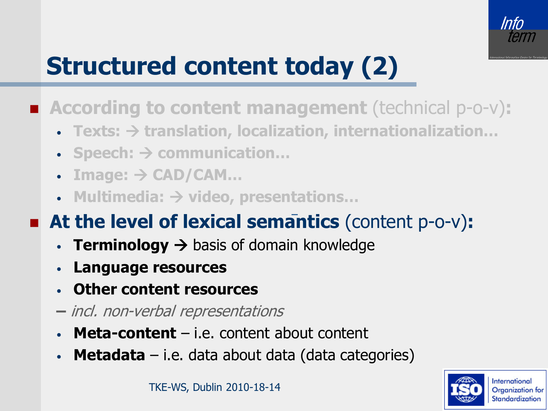

# **Structured content today (2)**

- **According to content management** (technical p-o-v)**:**
	- **Texts: translation, localization, internationalization…**
	- **Speech: communication…**
	- $\bullet$  **Image:**  $\rightarrow$  CAD/CAM...
	- **Multimedia: video, presen[ta](http://www.iso.org/iso/en/ISOOnline.frontpage)tions…**

#### **At the level of lexical semantics** (content p-o-v)**:**

- **Terminology**  $\rightarrow$  basis of domain knowledge
- **Language resources**
- **Other content resources**
- **–** incl. non-verbal representations
- **Meta-content**  i.e. content about content
- **Metadata**  i.e. data about data (data categories)

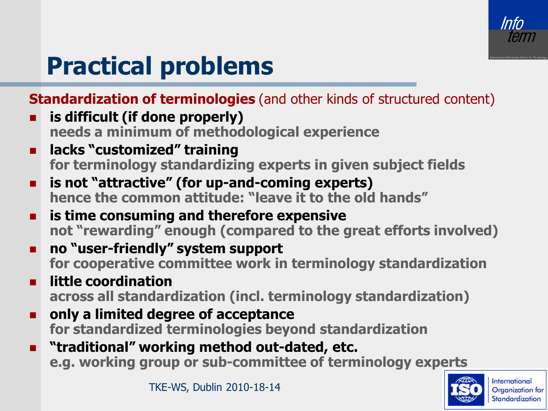

### **Practical problems**

**Standardization of terminologies** (and other kinds of structured content)

- **is difficult (if done properly) needs a minimum of methodological experience**
- **lacks "customized" training for terminology standardizing experts in given subject fields**
- **is not "attractive" (for up-and-coming experts) hence the common attitude: "leav[e i](http://www.iso.org/iso/en/ISOOnline.frontpage)t to the old hands"**
- **is time consuming and therefore expensive not "rewarding" enough (compared to the great efforts involved)**
- **no "user-friendly" system support for cooperative committee work in terminology standardization**
- $\blacksquare$  little coordination **across all standardization (incl. terminology standardization)**
- **only a limited degree of acceptance for standardized terminologies beyond standardization**
- **"traditional" working method out-dated, etc. e.g. working group or sub-committee of terminology experts**

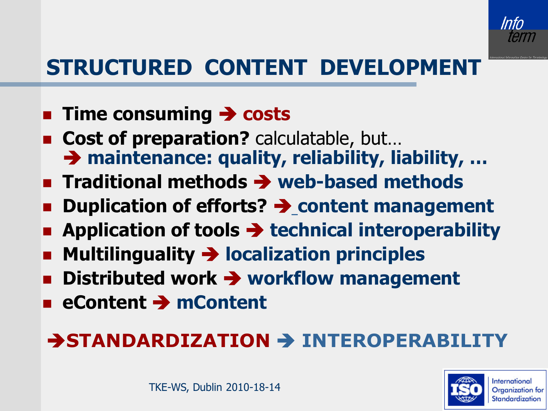

#### **STRUCTURED CONTENT DEVELOPMENT**

- **Example 2 Time consuming > costs**
- Cost of preparation? calculatable, but... → maintenance: quality, reliability, liability, ...
- **E** Traditional methods  $\rightarrow$  web-based methods
- **Duplication of efforts? → content management**
- **EXECUTE:** Application of tools  $\rightarrow$  technical interoperability
- **Multilinguality localization principles**
- **Distributed work**  $\rightarrow$  **workflow management**
- **eContent → mContent**

#### **BOSTANDARDIZATION & INTEROPERABILITY**

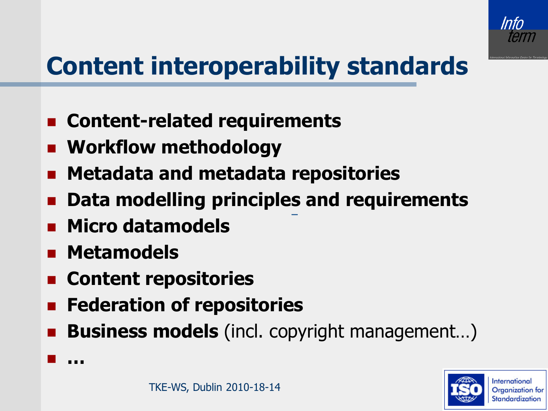

# **Content interoperability standards**

- **Content-related requirements**
- **Workflow methodology**
- **Metadata and metadata repositories**
- **Data modelling principle[s](http://www.iso.org/iso/en/ISOOnline.frontpage) and requirements**
- **Micro datamodels**
- **Metamodels**
- **E** Content repositories
- **Federation of repositories**
- **Business models** (incl. copyright management…)



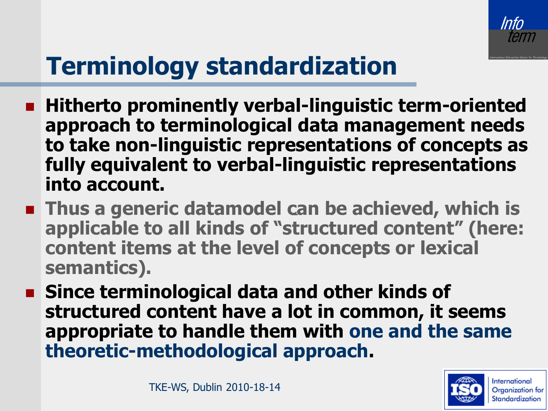

# **Terminology standardization**

- **Hitherto prominently verbal-linguistic term-oriented approach to terminological data management needs to take non-linguistic representations of concepts as fully equivalent to verbal-linguistic representations into account.**
- **Thus a generic datamodel [ca](http://www.iso.org/iso/en/ISOOnline.frontpage)n be achieved, which is applicable to all kinds of "structured content" (here: content items at the level of concepts or lexical semantics).**
- **Since terminological data and other kinds of structured content have a lot in common, it seems appropriate to handle them with one and the same theoretic-methodological approach.**

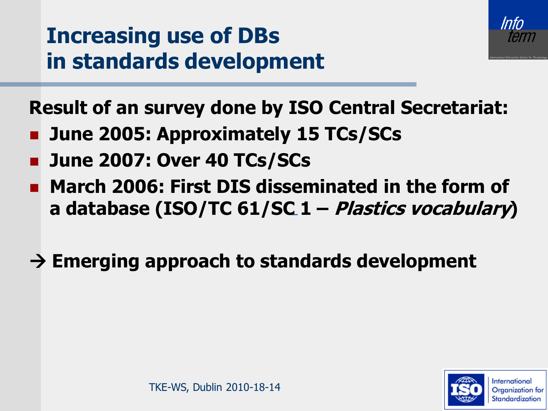



**Result of an survey done by ISO Central Secretariat:** 

- **June 2005: Approximately 15 TCs/SCs**
- **June 2007: Over 40 TCs/SCs**
- **March 2006: First DIS disseminated in the form of a database (ISO/TC 61/S[C](http://www.iso.org/iso/en/ISOOnline.frontpage) 1 – Plastics vocabulary)**
- **Emerging approach to standards development**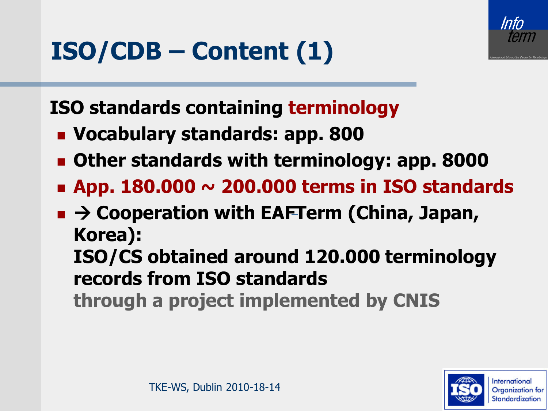

### **ISO/CDB – Content (1)**

**ISO standards containing terminology**

- **Vocabulary standards: app. 800**
- **Other standards with terminology: app. 8000**
- **App. 180.000 ~ 200.000 terms in ISO standards**
- → Cooperation with EA[FT](http://www.iso.org/iso/en/ISOOnline.frontpage)erm (China, Japan, **Korea): ISO/CS obtained around 120.000 terminology records from ISO standards through a project implemented by CNIS**

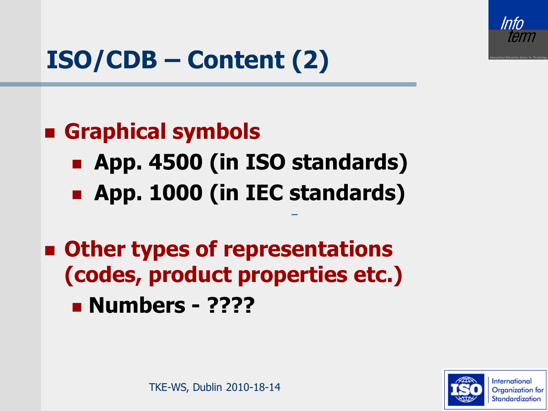

# **ISO/CDB – Content (2)**

#### **Graphical symbols**

- **App. 4500 (in ISO standards)**
- **App. 1000 (in IEC [s](http://www.iso.org/iso/en/ISOOnline.frontpage)tandards)**
- **Other types of representations (codes, product properties etc.)**
	- **Numbers - ????**

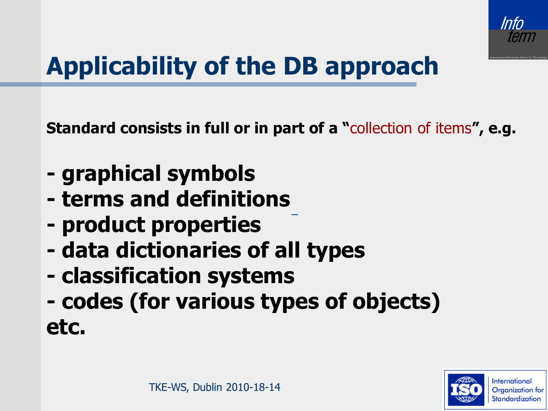

# **Applicability of the DB approach**

**Standard consists in full or in part of a "**collection of items**", e.g.**

- **- graphical symbols**
- **- terms and definitions**
- **- product properties**
- **- data dictionaries of all types**
- **- classification systems**
- **- codes (for various types of objects) etc.**

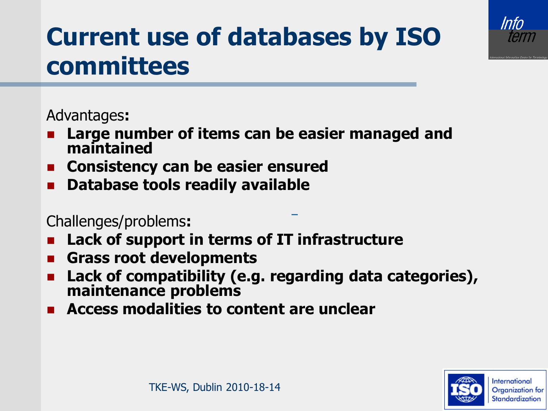

### **Current use of databases by ISO committees**

#### Advantages**:**

- **Large number of items can be easier managed and maintained**
- **Consistency can be easier ensured**
- **Database tools readily available**

#### Challenges/problems**:**

- **Lack of support in terms of IT infrastructure**
- **Grass root developments**
- **Lack of compatibility (e.g. regarding data categories), maintenance problems**
- **Access modalities to content are unclear**

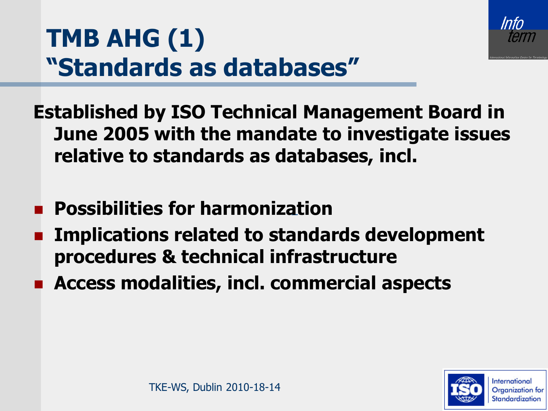

### **TMB AHG (1) "Standards as databases"**

**Established by ISO Technical Management Board in June 2005 with the mandate to investigate issues relative to standards as databases, incl.**

- **Possibilities for harmoniz[at](http://www.iso.org/iso/en/ISOOnline.frontpage)ion**
- **Implications related to standards development procedures & technical infrastructure**
- **Access modalities, incl. commercial aspects**

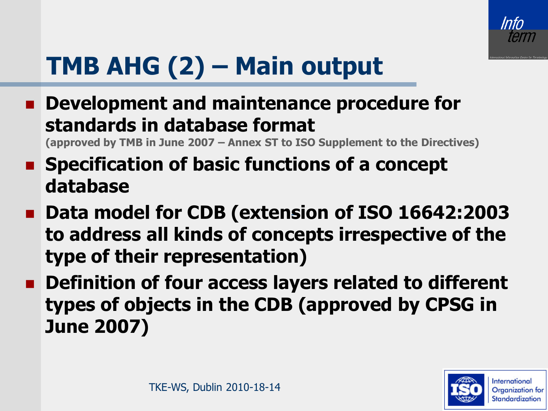

# **TMB AHG (2) – Main output**

 **Development and maintenance procedure for standards in database format** 

**(approved by TMB in June 2007 – Annex ST to ISO Supplement to the Directives)**

- **Specification of basic functions of a concept database**
- Data model for CDB (exten[s](http://www.iso.org/iso/en/ISOOnline.frontpage)ion of ISO 16642:2003 **to address all kinds of concepts irrespective of the type of their representation)**
- $\blacksquare$  Definition of four access layers related to different **types of objects in the CDB (approved by CPSG in June 2007)**

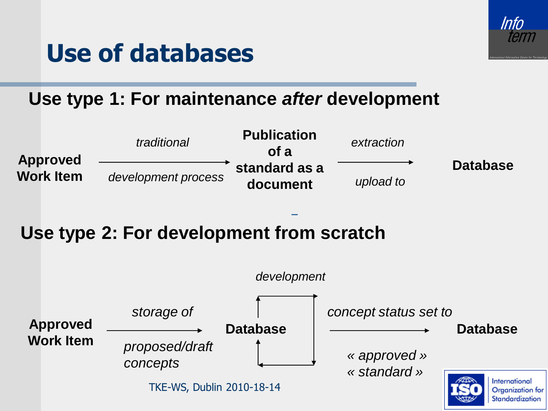

#### **Use of databases**

#### **Use type 1: For maintenance** *after* **development**



#### **Use type 2: For development from scratch**

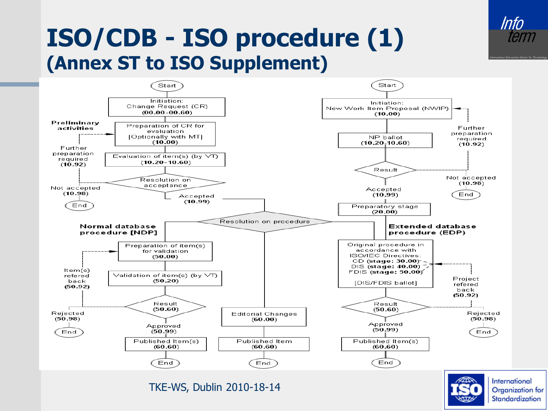#### **ISO/CDB - ISO procedure (1) (Annex ST to ISO Supplement)**

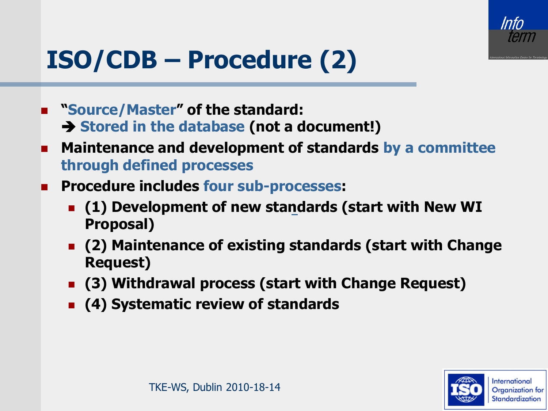

# **ISO/CDB – Procedure (2)**

- **"Source/Master" of the standard: Stored in the database (not a document!)**
- **Maintenance and development of standards by a committee through defined processes**
- **Procedure includes four sub-processes:**
	- **(1) Development of new sta[nd](http://www.iso.org/iso/en/ISOOnline.frontpage)ards (start with New WI Proposal)**
	- **(2) Maintenance of existing standards (start with Change Request)**
	- **(3) Withdrawal process (start with Change Request)**
	- **(4) Systematic review of standards**

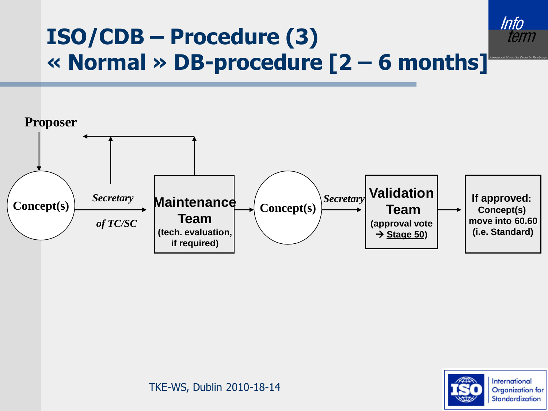#### **ISO/CDB – Procedure (3) « Normal » DB-procedure [2 – 6 months]**





Info term

TKE-WS, Dublin 2010-18-14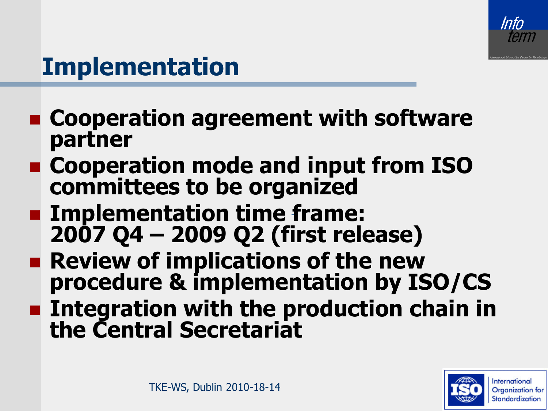

#### **Implementation**

- **Cooperation agreement with software partner**
- **Cooperation mode and input from ISO committees to be organized**
- **Implementation time [f](http://www.iso.org/iso/en/ISOOnline.frontpage)rame: 2007 Q4 – 2009 Q2 (first release)**
- **Review of implications of the new procedure & implementation by ISO/CS**
- **Example 1** Integration with the production chain in **the Central Secretariat**

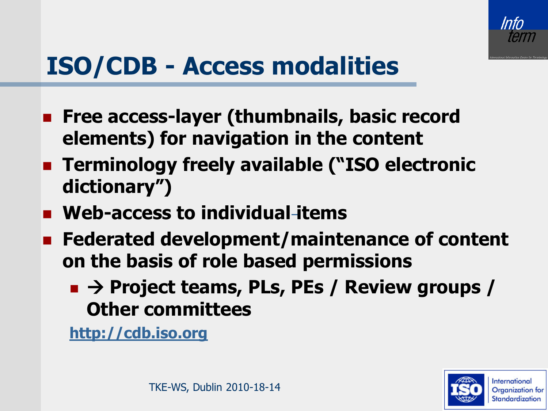

#### **ISO/CDB - Access modalities**

- **Figure 2015** Free access-layer (thumbnails, basic record **elements) for navigation in the content**
- **EXPERIMENT Terminology freely available ("ISO electronic dictionary")**
- **Web-access to individual [i](http://www.iso.org/iso/en/ISOOnline.frontpage)tems**
- **Federated development/maintenance of content on the basis of role based permissions**
	- **Project teams, PLs, PEs / Review groups / Other committees**

**[http://cdb.iso.org](http://cdb.iso.org/)**

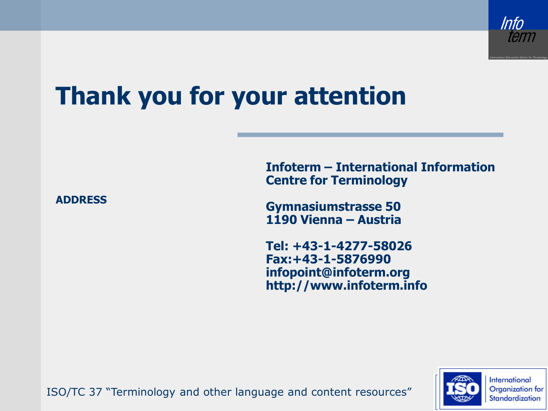

#### **Thank you for your attention**

**ADDRESS**

**Infoterm – International Information Centre for Terminology**

**Gymnasiumstrasse 50 1190 Vienna – Austria**

**Tel: +43-1-4277-58026 Fax:+43-1-5876990 infopoint@infoterm.org http://www.infoterm.info**



ISO/TC 37 "Terminology and other language and content resources"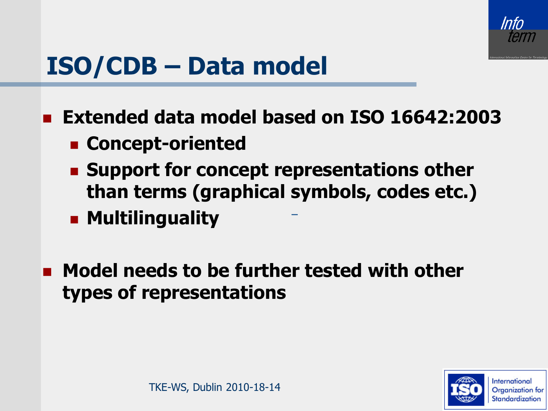

#### **ISO/CDB – Data model**

**Extended data model based on ISO 16642:2003**

- **Concept-oriented**
- **Example 1 Support for concept representations other than terms (graphical [s](http://www.iso.org/iso/en/ISOOnline.frontpage)ymbols, codes etc.) E** Multilinguality
- **E** Model needs to be further tested with other **types of representations**

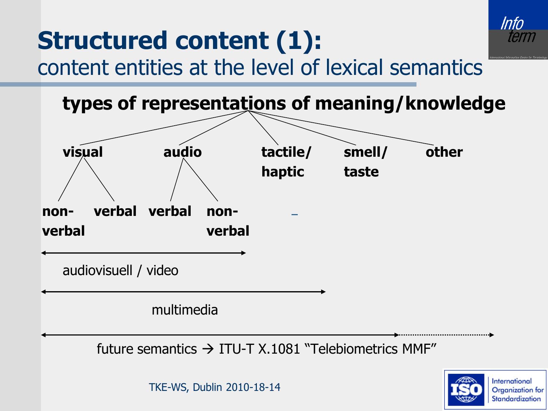

#### **Structured content (1):**  content entities at the level of lexical semantics

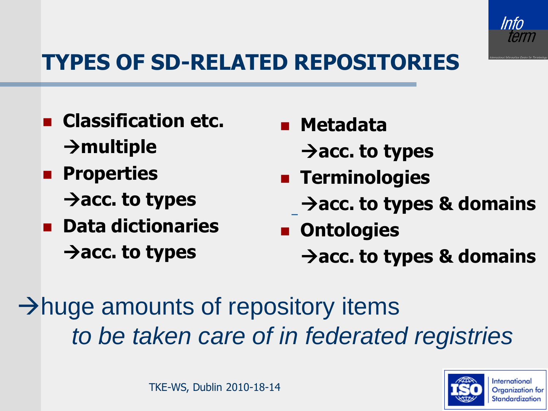

#### **TYPES OF SD-RELATED REPOSITORIES**

- **Classification etc. multiple**
- **Properties**  $\rightarrow$  acc. to types
- **Data dictionaries**  $\rightarrow$  acc. to types
- **Metadata**
	- **acc. to types**
- **E** Terminologies
	- Acc. to types & domains
- **Ontologies**  $\rightarrow$  acc. to types & domains

 $\rightarrow$  huge amounts of repository items *to be taken care of in federated registries*

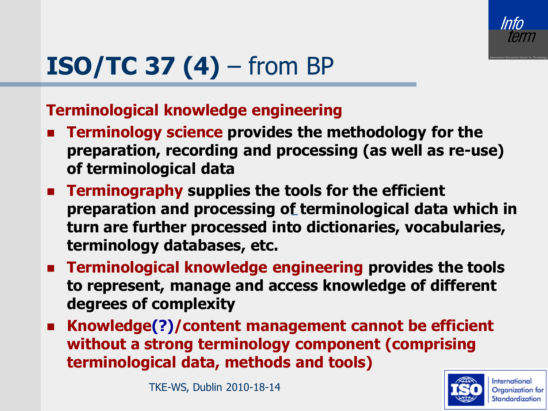

# **ISO/TC 37 (4)** – from BP

#### **Terminological knowledge engineering**

- **Terminology science provides the methodology for the preparation, recording and processing (as well as re-use) of terminological data**
- **Terminography supplies the tools for the efficient preparation and processing o[f](http://www.iso.org/iso/en/ISOOnline.frontpage) terminological data which in turn are further processed into dictionaries, vocabularies, terminology databases, etc.**
- **Terminological knowledge engineering provides the tools to represent, manage and access knowledge of different degrees of complexity**
- **Knowledge(?)/content management cannot be efficient without a strong terminology component (comprising terminological data, methods and tools)**

TKE-WS, Dublin 2010-18-14